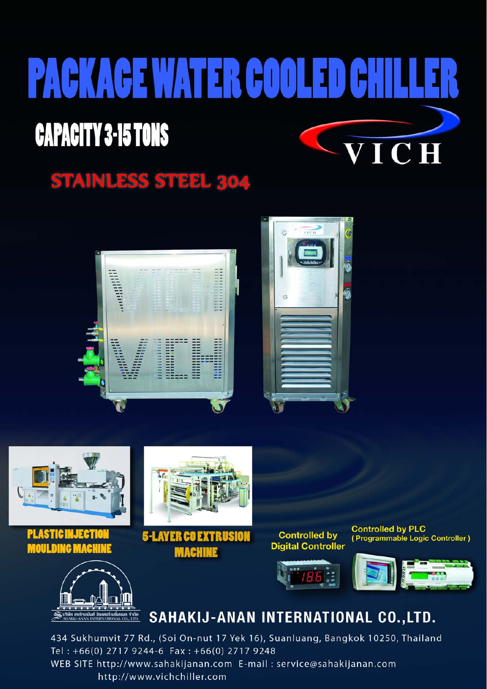## **PACKAGE WATER COOLED CAPACITY 3-15 TONS** VICH

## **STAINLESS STEEL 304**







434 Sukhumvit 77 Rd., (Soi On-nut 17 Yek 16), Suanluang, Bangkok 10250, Thailand Tel: +66(0) 2717 9244-6 Fax: +66(0) 2717 9248 WEB SITE http://www.sahakijanan.com E-mail : service@sahakijanan.com http://www.vichchiller.com